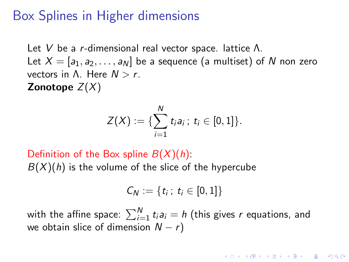# Box Splines in Higher dimensions

Let *V* be a *r*-dimensional real vector space. lattice Λ. Let  $X = [a_1, a_2, \ldots, a_N]$  be a sequence (a multiset) of N non zero vectors in Λ. Here *N* > *r*. Zonotope *Z*(*X*)

$$
Z(X) := \{ \sum_{i=1}^N t_i a_i \, ; \, t_i \in [0,1] \}.
$$

Definition of the Box spline *B*(*X*)(*h*):  $B(X)(h)$  is the volume of the slice of the hypercube

$$
C_N := \{t_i \, ; \, t_i \in [0,1]\}
$$

with the affine space:  $\sum_{i=1}^{N} t_i a_i = h$  (this gives  $r$  equations, and we obtain slice of dimension *N* − *r*)

**A O A G A 4 O A C A G A 4 O A 4 O A A C A**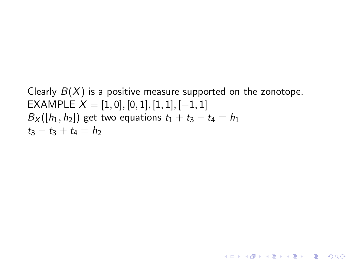Clearly  $B(X)$  is a positive measure supported on the zonotope. EXAMPLE  $X = [1, 0], [0, 1], [1, 1], [-1, 1]$ *B*<sub>X</sub>([*h*<sub>1</sub>, *h*<sub>2</sub>]) get two equations  $t_1 + t_3 - t_4 = h_1$  $t_3 + t_3 + t_4 = h_2$ 

**YO A REPART ARM ADD**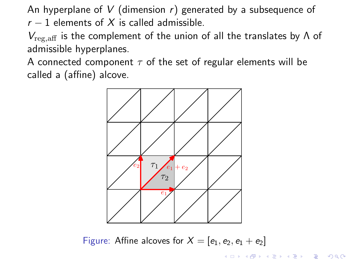An hyperplane of *V* (dimension *r*) generated by a subsequence of  $r - 1$  elements of  $X$  is called admissible.

*V*reg,aff is the complement of the union of all the translates by Λ of admissible hyperplanes.

A connected component  $\tau$  of the set of regular elements will be called a (affine) alcove.



Figure: Affine alcoves for  $X = [e_1, e_2, e_1 + e_2]$ 

**K ロ ▶ K @ ▶ K 할 X K 할 X 및 할 X Y Q Q @**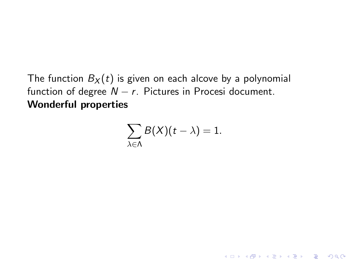The function  $B_X(t)$  is given on each alcove by a polynomial function of degree  $N - r$ . Pictures in Procesi document. Wonderful properties

$$
\sum_{\lambda\in\Lambda}B(X)(t-\lambda)=1.
$$

KO K K Ø K K B K K B K D K V K K K K K B K V K K K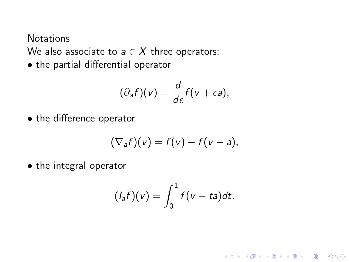**Notations** 

We also associate to  $a \in X$  three operators:

• the partial differential operator

$$
(\partial_a f)(v) = \frac{d}{d\epsilon} f(v + \epsilon a),
$$

• the difference operator

$$
(\nabla_a f)(v) = f(v) - f(v - a),
$$

• the integral operator

$$
(I_{a}f)(v)=\int_{0}^{1}f(v-ta)dt.
$$

K ロ ▶ K @ ▶ K 할 X X 할 X | 할 X 1 9 Q Q ^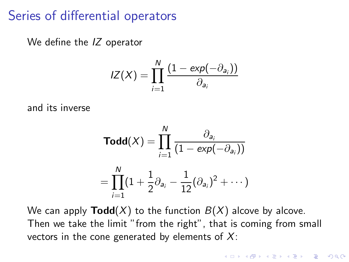### Series of differential operators

We define the *IZ* operator

$$
IZ(X) = \prod_{i=1}^{N} \frac{(1 - \exp(-\partial_{a_i}))}{\partial_{a_i}}
$$

and its inverse

$$
Todd(X) = \prod_{i=1}^{N} \frac{\partial_{a_i}}{(1 - exp(-\partial_{a_i}))}
$$

$$
= \prod_{i=1}^{N} (1 + \frac{1}{2}\partial_{a_i} - \frac{1}{12}(\partial_{a_i})^2 + \cdots)
$$

We can apply  $\text{Total}(X)$  to the function  $B(X)$  alcove by alcove. Then we take the limit "from the right", that is coming from small vectors in the cone generated by elements of *X*: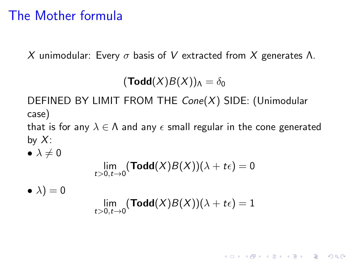# The Mother formula

*X* unimodular: Every σ basis of *V* extracted from *X* generates Λ.

 $(Todd(X)B(X))<sub>A</sub> = \delta_0$ 

DEFINED BY LIMIT FROM THE *Cone*(*X*) SIDE: (Unimodular case)

that is for any  $\lambda \in \Lambda$  and any  $\epsilon$  small regular in the cone generated by *X*:

 $\bullet \lambda \neq 0$ 

$$
\lim_{t>0,t\to 0} (\textbf{Todd}(X)B(X))(\lambda + t\epsilon) = 0
$$

 $\bullet \lambda) = 0$ 

$$
\lim_{t>0,t\to 0} (\text{Todd}(X)B(X))(\lambda + t\epsilon) = 1
$$

**YO A REPART ARM ADD**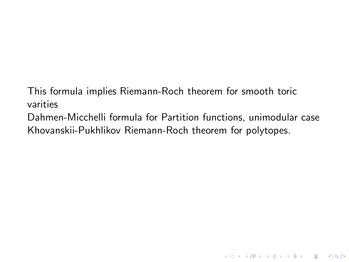This formula implies Riemann-Roch theorem for smooth toric varities

Dahmen-Micchelli formula for Partition functions, unimodular case Khovanskii-Pukhlikov Riemann-Roch theorem for polytopes.

K ロ ▶ K @ ▶ K 할 ▶ K 할 ▶ 이 할 → 9 Q @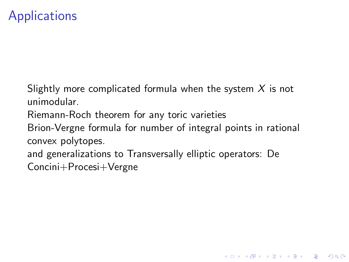# **Applications**

Slightly more complicated formula when the system *X* is not unimodular.

Riemann-Roch theorem for any toric varieties

Brion-Vergne formula for number of integral points in rational convex polytopes.

**K ロ ▶ K @ ▶ K 할 X K 할 X 및 할 X Y Q Q @** 

and generalizations to Transversally elliptic operators: De Concini+Procesi+Vergne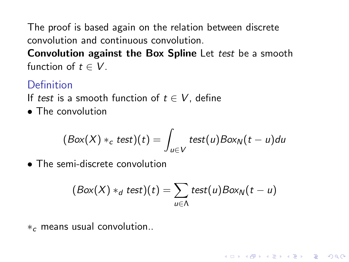The proof is based again on the relation between discrete convolution and continuous convolution.

Convolution against the Box Spline Let *test* be a smooth function of  $t \in V$ .

### Definition

If *test* is a smooth function of  $t \in V$ , define

• The convolution

$$
(Box(X) *_{c} test)(t) = \int_{u \in V} test(u)Box_{N}(t-u)du
$$

• The semi-discrete convolution

$$
(Box(X) *_{d} test)(t) = \sum_{u \in \Lambda} test(u)Box_{N}(t-u)
$$

**YO A REPART ARM ADD** 

 $*_{c}$  means usual convolution..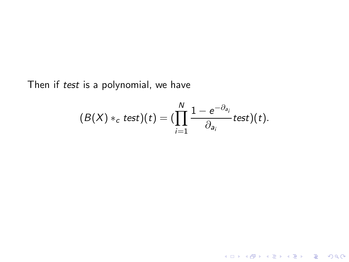Then if *test* is a polynomial, we have

$$
(B(X) *_{c} test)(t) = (\prod_{i=1}^{N} \frac{1-e^{-\partial_{a_{i}}}}{\partial_{a_{i}}} test)(t).
$$

K ロ ▶ K @ ▶ K 할 ▶ K 할 ▶ ... 할 ... 9 Q Q ^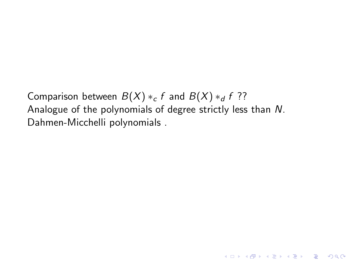Comparison between  $B(X) *_{c} f$  and  $B(X) *_{d} f$  ?? Analogue of the polynomials of degree strictly less than *N*. Dahmen-Micchelli polynomials .

K ロ ▶ K @ ▶ K 할 ▶ K 할 ▶ 이 할 → 9 Q @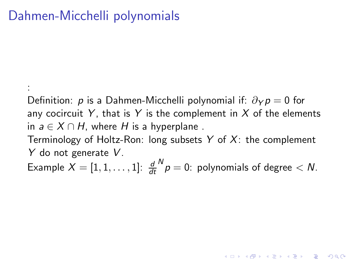# Dahmen-Micchelli polynomials

:

Definition: *p* is a Dahmen-Micchelli polynomial if:  $\partial_Y p = 0$  for any cocircuit  $Y$ , that is  $Y$  is the complement in  $X$  of the elements in  $a \in X \cap H$ , where *H* is a hyperplane. Terminology of Holtz-Ron: long subsets *Y* of *X*: the complement *Y* do not generate *V* . Example  $X=[1,1,\ldots,1]$ :  $\frac{d}{dt}$  $N \choose p = 0$ : polynomials of degree  $< N$ .

YO K (FE) (E) ORA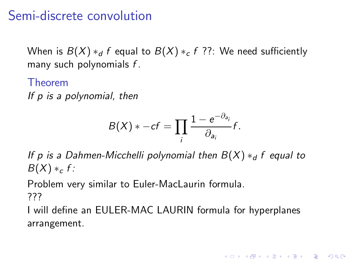# Semi-discrete convolution

When is  $B(X) *_{d} f$  equal to  $B(X) *_{c} f$  ??: We need sufficiently many such polynomials *f* .

Theorem *If p is a polynomial, then*

$$
B(X) * -cf = \prod_i \frac{1 - e^{-\partial_{a_i}}}{\partial_{a_i}} f.
$$

*If p is a Dahmen-Micchelli polynomial then B(X) ∗<sub>d</sub> <i>f equal to*  $B(X) *_{c} f$ :

Problem very similar to Euler-MacLaurin formula. ???

I will define an EULER-MAC LAURIN formula for hyperplanes arrangement.

**YO A REPART ARM ADD**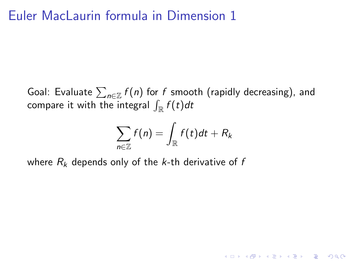# Euler MacLaurin formula in Dimension 1

Goal: Evaluate  $\sum_{n\in\mathbb{Z}}f(n)$  for  $f$  smooth (rapidly decreasing), and compare it with the integral  $\int_{\mathbb{R}} f(t) dt$ 

$$
\sum_{n\in\mathbb{Z}}f(n)=\int_{\mathbb{R}}f(t)dt+R_k
$$

**K ロ ▶ K @ ▶ K 할 X K 할 X 및 할 X Y Q Q @** 

where *R*<sup>k</sup> depends only of the *k*-th derivative of *f*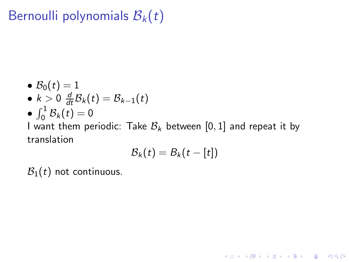# Bernoulli polynomials  $B_k(t)$

$$
\bullet \ \mathcal{B}_0(t) = 1
$$

• 
$$
k > 0
$$
  $\frac{d}{dt} B_k(t) = B_{k-1}(t)$ 

$$
\bullet \, \int_0^1 \mathcal{B}_k(t) = 0
$$

 $\bullet$   $j_0$   $\infty$ <sub>k</sub>(c)  $\circ$ <br>I want them periodic: Take  $\mathcal{B}_k$  between [0, 1] and repeat it by translation

$$
\mathcal{B}_k(t)=B_k(t-[t])
$$

K ロ ▶ K @ ▶ K 할 ▶ K 할 ▶ 이 할 → 9 Q @

 $B_1(t)$  not continuous.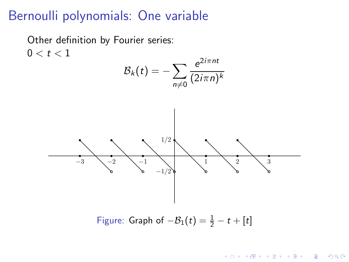### Bernoulli polynomials: One variable

Other definition by Fourier series:  $0 < t < 1$ 



Figure: Graph of  $-\mathcal{B}_1(t) = \frac{1}{2} - t + [t]$ 

**モロン マ何 メ マ チ メ ヨ メ ニ ヨ** 

 $2990$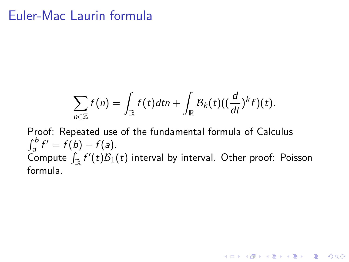### Euler-Mac Laurin formula

$$
\sum_{n\in\mathbb{Z}}f(n)=\int_{\mathbb{R}}f(t)dt n+\int_{\mathbb{R}}B_k(t)((\frac{d}{dt})^k f)(t).
$$

Proof: Repeated use of the fundamental formula of Calculus  $\int_{a}^{b} f' = f(b) - f(a).$ Compute  $\int_{\mathbb{R}} f'(t) \mathcal{B}_1(t)$  interval by interval. Other proof: Poisson formula.

K □ ▶ K @ ▶ K 할 X K 할 X T 할 X 1 9 Q Q \*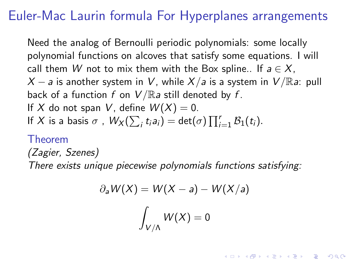# Euler-Mac Laurin formula For Hyperplanes arrangements

Need the analog of Bernoulli periodic polynomials: some locally polynomial functions on alcoves that satisfy some equations. I will call them *W* not to mix them with the Box spline.. If  $a \in X$ ,  $X - a$  is another system in *V*, while  $X/a$  is a system in  $V/Ra$ : pull back of a function *f* on *V* /R*a* still denoted by *f* . If X do not span V, define  $W(X) = 0$ . If *X* is a basis  $\sigma$  ,  $W_X(\sum_i t_i a_i) = \det(\sigma) \prod_{i=1}^r B_1(t_i)$ .

#### Theorem

*(Zagier, Szenes) There exists unique piecewise polynomials functions satisfying:*

$$
\partial_a W(X) = W(X - a) - W(X/a)
$$

$$
\int_{V/\Lambda} W(X) = 0
$$

4 D > 4 P > 4 E > 4 E > E + 9 Q O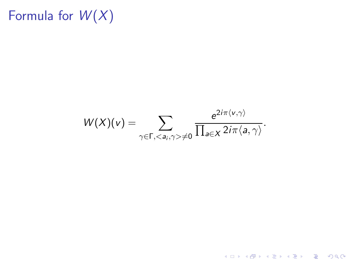# Formula for  $W(X)$

 $W(X)(v) = \sum$  $\gamma{\in}\mathsf{\Gamma,}<$ a $_i$ , $\gamma{>}$  $\neq$ 0  $e^{2i\pi\langle v,\gamma\rangle}$  $\frac{1}{\prod_{a\in X}2i\pi\langle a,\gamma\rangle}$ .

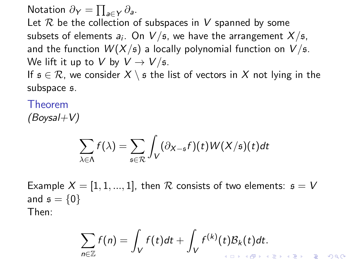Notation  $\partial_Y = \prod_{a \in Y} \partial_a$ .

Let R be the collection of subspaces in *V* spanned by some subsets of elements  $a_i$ . On  $V/\mathfrak{s}$ , we have the arrangement  $X/\mathfrak{s},$ and the function  $W(X/\mathfrak{s})$  a locally polynomial function on  $V/\mathfrak{s}$ . We lift it up to *V* by  $V \rightarrow V/s$ . If  $s \in \mathcal{R}$ , we consider  $X \setminus s$  the list of vectors in X not lying in the

subspace s.

Theorem *(Boysal+V)*

$$
\sum_{\lambda \in \Lambda} f(\lambda) = \sum_{\mathfrak{s} \in \mathcal{R}} \int_V (\partial_{X-\mathfrak{s}} f)(t) W(X/\mathfrak{s})(t) dt
$$

Example  $X = [1, 1, ..., 1]$ , then  $R$  consists of two elements:  $s = V$ and  $s = \{0\}$ Then:

$$
\sum_{n\in\mathbb{Z}}f(n)=\int_{V}f(t)dt+\int_{V}f^{(k)}(t)\mathcal{B}_{k}(t)dt.
$$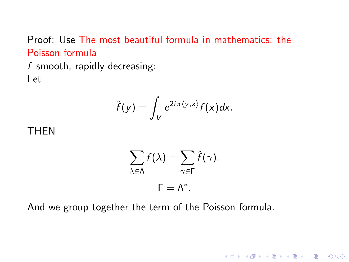Proof: Use The most beautiful formula in mathematics: the Poisson formula

*f* smooth, rapidly decreasing: Let

$$
\hat{f}(y) = \int_V e^{2i\pi \langle y, x \rangle} f(x) dx.
$$

THEN

$$
\sum_{\lambda \in \Lambda} f(\lambda) = \sum_{\gamma \in \Gamma} \hat{f}(\gamma).
$$

$$
\Gamma = \Lambda^*.
$$

K ロ ▶ K @ ▶ K 할 ▶ K 할 ▶ 이 할 → 9 Q @

And we group together the term of the Poisson formula.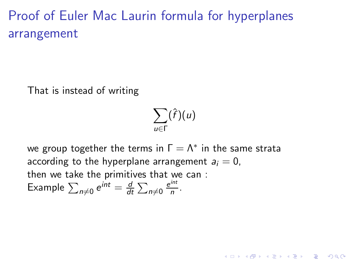# Proof of Euler Mac Laurin formula for hyperplanes arrangement

That is instead of writing

$$
\sum_{u\in\Gamma}(\hat{f})(u)
$$

**K ロ ▶ K @ ▶ K 할 X K 할 X 및 할 X Y Q Q @** 

we group together the terms in  $\Gamma = \Lambda^*$  in the same strata according to the hyperplane arrangement  $a_i = 0$ . then we take the primitives that we can : Example  $\sum_{n\neq 0} e^{int} = \frac{d}{dt}$  $\frac{d}{dt} \sum_{n \neq 0} \frac{e^{int}}{n}$  $\frac{m}{n}$ .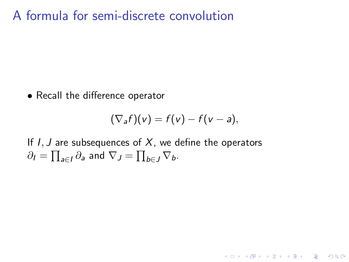A formula for semi-discrete convolution

• Recall the difference operator

$$
(\nabla_a f)(v) = f(v) - f(v - a),
$$

**K ロ ▶ K @ ▶ K 할 X K 할 X 및 할 X Y Q Q @** 

If *I*, *J* are subsequences of *X*, we define the operators  $\partial_I = \prod_{\substack{\mathfrak{a} \in I}} \partial_{\substack{\mathfrak{a}}}$  and  $\nabla_J = \prod_{\substack{\mathfrak{b} \in J}} \nabla_{\mathfrak{b}}$ .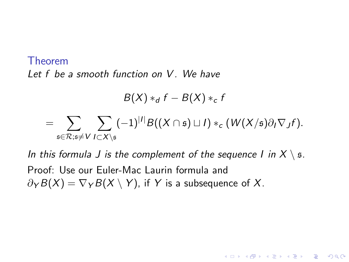#### Theorem *Let f be a smooth function on V . We have*

$$
B(X) *_{d} f - B(X) *_{c} f
$$
  
= 
$$
\sum_{\mathfrak{s} \in \mathcal{R}; \mathfrak{s} \neq V} \sum_{I \subset X \setminus \mathfrak{s}} (-1)^{|I|} B((X \cap \mathfrak{s}) \sqcup I) *_{c} (W(X/\mathfrak{s}) \partial_{I} \nabla_{J} f).
$$

*In this formula J is the complement of the sequence I in*  $X \setminus \mathfrak{s}$ *.* Proof: Use our Euler-Mac Laurin formula and  $\partial_Y B(X) = \nabla_Y B(X \setminus Y)$ , if *Y* is a subsequence of *X*.

**YO A REPART ARM ADD**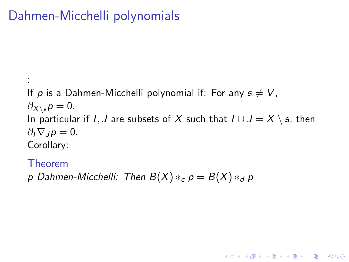# Dahmen-Micchelli polynomials

: If p is a Dahmen-Micchelli polynomial if: For any  $s \neq V$ ,  $\partial$ <sub>X</sub>∖<sub>s</sub> $p = 0$ . In particular if *I*, *J* are subsets of *X* such that  $I \cup J = X \setminus \mathfrak{s}$ , then  $\partial_I \nabla_I p = 0.$ Corollary:

**YO A REPART ARM ADD** 

Theorem

*p* Dahmen-Micchelli: Then  $B(X) *_{c} p = B(X) *_{d} p$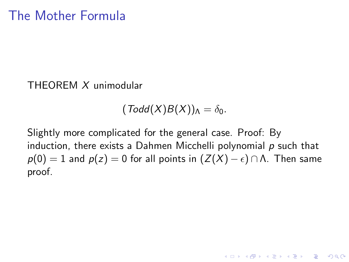#### THEOREM *X* unimodular

 $(Todd(X)B(X))<sub>A</sub> = \delta_0$ .

Slightly more complicated for the general case. Proof: By induction, there exists a Dahmen Micchelli polynomial *p* such that  $p(0) = 1$  and  $p(z) = 0$  for all points in  $(Z(X) - \epsilon) \cap \Lambda$ . Then same proof.

**K ロ ▶ K @ ▶ K 할 X K 할 X 및 할 X Y Q Q @**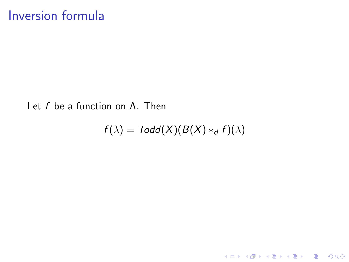#### Let *f* be a function on Λ. Then

$$
f(\lambda) = \mathsf{ Todd}(X)(B(X) *_{d} f)(\lambda)
$$

KOX KOX KEX KEX E 1990